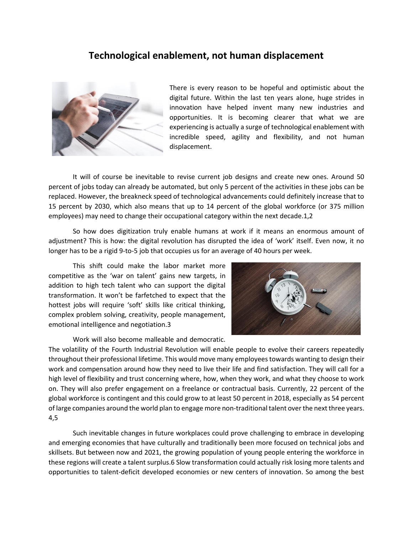## **Technological enablement, not human displacement**



There is every reason to be hopeful and optimistic about the digital future. Within the last ten years alone, huge strides in innovation have helped invent many new industries and opportunities. It is becoming clearer that what we are experiencing is actually a surge of technological enablement with incredible speed, agility and flexibility, and not human displacement.

It will of course be inevitable to revise current job designs and create new ones. Around 50 percent of jobs today can already be automated, but only 5 percent of the activities in these jobs can be replaced. However, the breakneck speed of technological advancements could definitely increase that to 15 percent by 2030, which also means that up to 14 percent of the global workforce (or 375 million employees) may need to change their occupational category within the next decade.1,2

So how does digitization truly enable humans at work if it means an enormous amount of adjustment? This is how: the digital revolution has disrupted the idea of 'work' itself. Even now, it no longer has to be a rigid 9-to-5 job that occupies us for an average of 40 hours per week.

This shift could make the labor market more competitive as the 'war on talent' gains new targets, in addition to high tech talent who can support the digital transformation. It won't be farfetched to expect that the hottest jobs will require 'soft' skills like critical thinking, complex problem solving, creativity, people management, emotional intelligence and negotiation.3

Work will also become malleable and democratic.



The volatility of the Fourth Industrial Revolution will enable people to evolve their careers repeatedly throughout their professional lifetime. This would move many employees towards wanting to design their work and compensation around how they need to live their life and find satisfaction. They will call for a high level of flexibility and trust concerning where, how, when they work, and what they choose to work on. They will also prefer engagement on a freelance or contractual basis. Currently, 22 percent of the global workforce is contingent and this could grow to at least 50 percent in 2018, especially as 54 percent of large companies around the world plan to engage more non-traditional talent over the next three years. 4,5

Such inevitable changes in future workplaces could prove challenging to embrace in developing and emerging economies that have culturally and traditionally been more focused on technical jobs and skillsets. But between now and 2021, the growing population of young people entering the workforce in these regions will create a talent surplus.6 Slow transformation could actually risk losing more talents and opportunities to talent-deficit developed economies or new centers of innovation. So among the best